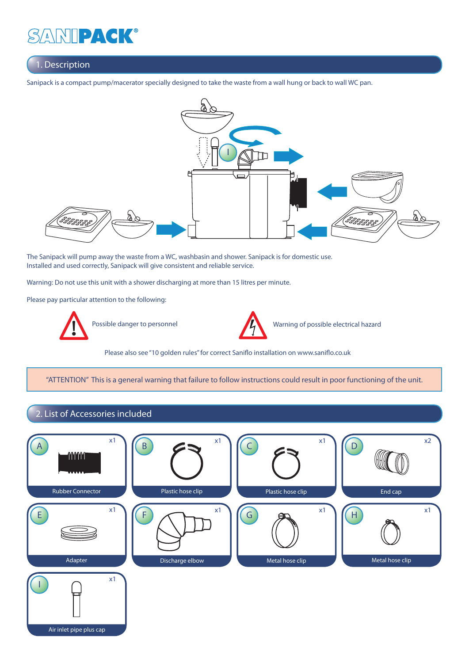## 1. Description

Sanipack is a compact pump/macerator specially designed to take the waste from a wall hung or back to wall WC pan.



 The Sanipack will pump away the waste from a WC, washbasin and shower. Sanipack is for domestic use. Installed and used correctly, Sanipack will give consistent and reliable service.

Warning: Do not use this unit with a shower discharging at more than 15 litres per minute.

Please pay particular attention to the following:





Possible danger to personnel Warning of possible electrical hazard

Please also see "10 golden rules" for correct Saniflo installation on www.saniflo.co.uk

"ATTENTION" This is a general warning that failure to follow instructions could result in poor functioning of the unit.

### 2. List of Accessories included

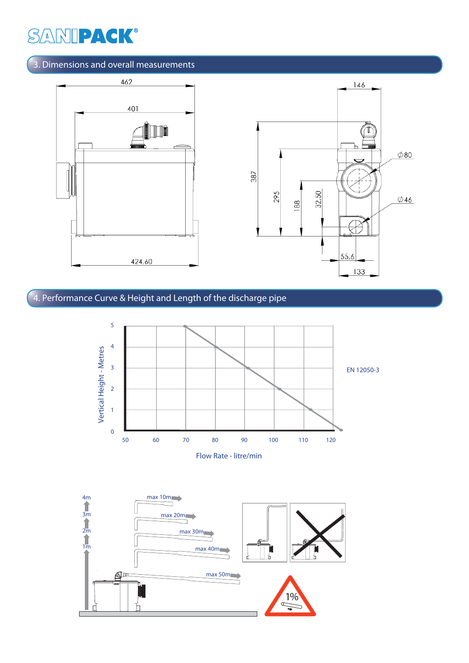## 3. Dimensions and overall measurements



# 4. Performance Curve & Height and Length of the discharge pipe



Flow Rate - litre/min

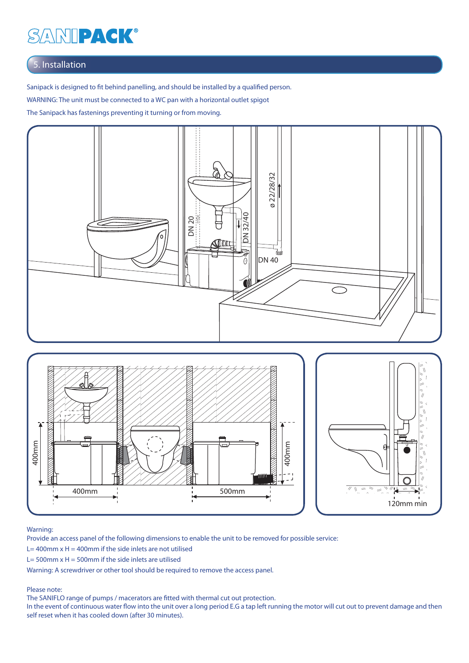## 5. Installation

Sanipack is designed to fit behind panelling, and should be installed by a qualified person.

WARNING: The unit must be connected to a WC pan with a horizontal outlet spigot

The Sanipack has fastenings preventing it turning or from moving.





#### Warning:

Provide an access panel of the following dimensions to enable the unit to be removed for possible service:

- L= 400mm  $x$  H = 400mm if the side inlets are not utilised
- L= 500mm  $x$  H = 500mm if the side inlets are utilised

Warning: A screwdriver or other tool should be required to remove the access panel.

#### Please note:

The SANIFLO range of pumps / macerators are fitted with thermal cut out protection.

In the event of continuous water flow into the unit over a long period E.G a tap left running the motor will cut out to prevent damage and then self reset when it has cooled down (after 30 minutes).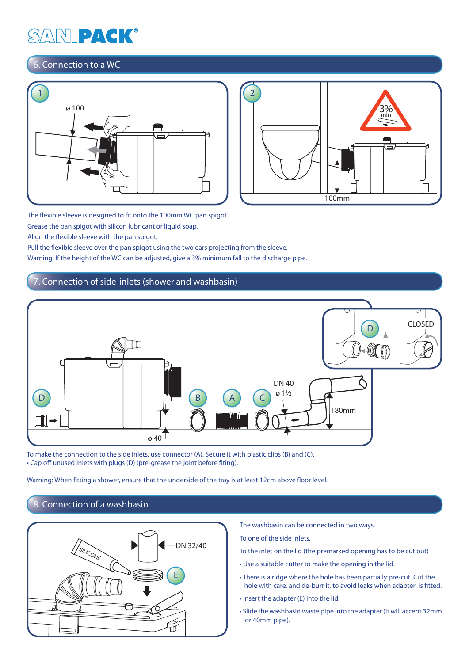## 6. Connection to a WC





The flexible sleeve is designed to fit onto the 100mm WC pan spigot. Grease the pan spigot with silicon lubricant or liquid soap.

Align the flexible sleeve with the pan spigot.

Pull the flexible sleeve over the pan spigot using the two ears projecting from the sleeve.

Warning: If the height of the WC can be adjusted, give a 3% minimum fall to the discharge pipe.

### Connection of side-inlets (shower and washbasin)



 To make the connection to the side inlets, use connector (A). Secure it with plastic clips (B) and (C). • Cap off unused inlets with plugs (D) (pre-grease the joint before fiting).

Warning: When fitting a shower, ensure that the underside of the tray is at least 12cm above floor level.

## 8. Connection of a washbasin



The washbasin can be connected in two ways.

To one of the side inlets.

- To the inlet on the lid (the premarked opening has to be cut out)
- Use a suitable cutter to make the opening in the lid.
- There is a ridge where the hole has been partially pre-cut. Cut the hole with care, and de-burr it, to avoid leaks when adapter is fitted.
- Insert the adapter (E) into the lid.
- Slide the washbasin waste pipe into the adapter (it will accept 32mm or 40mm pipe).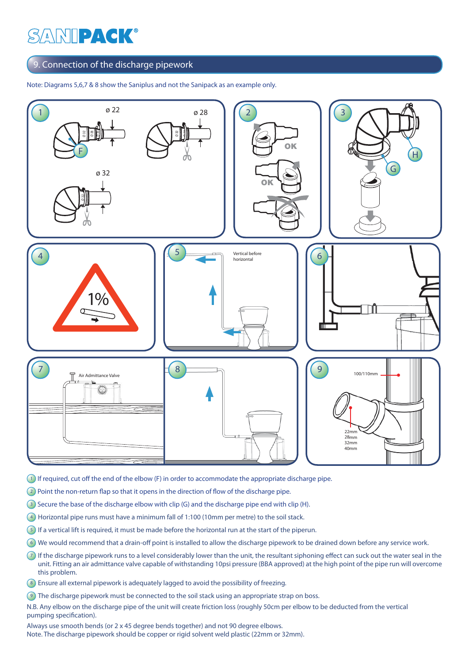### 9. Connection of the discharge pipework

Note: Diagrams 5,6,7 & 8 show the Saniplus and not the Sanipack as an example only.



- 1 If required, cut off the end of the elbow (F) in order to accommodate the appropriate discharge pipe.
- $\Omega$  Point the non-return flap so that it opens in the direction of flow of the discharge pipe.
- <sup>3</sup> Secure the base of the discharge elbow with clip (G) and the discharge pipe end with clip (H).
- 4 Horizontal pipe runs must have a minimum fall of 1:100 (10mm per metre) to the soil stack.
- 5 If a vertical lift is required, it must be made before the horizontal run at the start of the piperun.
- 6 We would recommend that a drain-off point is installed to allow the discharge pipework to be drained down before any service work.
- $(7)$  If the discharge pipework runs to a level considerably lower than the unit, the resultant siphoning effect can suck out the water seal in the unit. Fitting an air admittance valve capable of withstanding 10psi pressure (BBA approved) at the high point of the pipe run will overcome this problem.
- 8 Ensure all external pipework is adequately lagged to avoid the possibility of freezing.
- **9** The discharge pipework must be connected to the soil stack using an appropriate strap on boss.

N.B. Any elbow on the discharge pipe of the unit will create friction loss (roughly 50cm per elbow to be deducted from the vertical pumping specification).

Always use smooth bends (or 2 x 45 degree bends together) and not 90 degree elbows. Note. The discharge pipework should be copper or rigid solvent weld plastic (22mm or 32mm).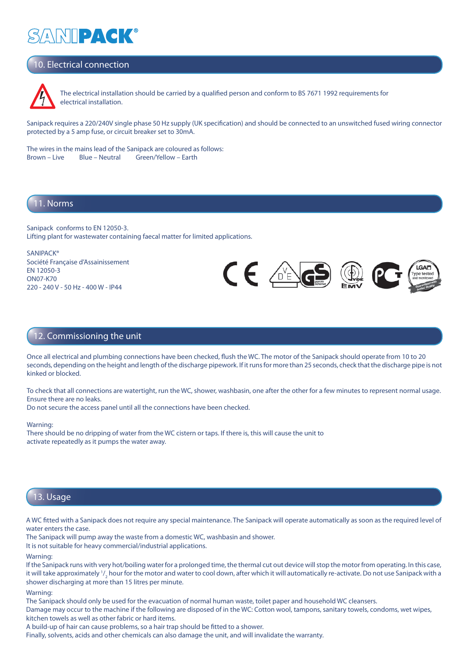# 10. Electrical connection



The electrical installation should be carried by a qualified person and conform to BS 7671 1992 requirements for electrical installation.

Sanipack requires a 220/240V single phase 50 Hz supply (UK specification) and should be connected to an unswitched fused wiring connector protected by a 5 amp fuse, or circuit breaker set to 30mA.

 The wires in the mains lead of the Sanipack are coloured as follows: Brown – Live Blue – Neutral Green/Yellow – Earth

#### 11. Norms

Sanipack conforms to EN 12050-3. Lifting plant for wastewater containing faecal matter for limited applications.

**SANIPACK®** Société Française d'Assainissement EN 12050-3 ON07-K70 220 - 240 V - 50 Hz - 400 W - IP44



#### 12. Commissioning the unit

Once all electrical and plumbing connections have been checked, flush the WC. The motor of the Sanipack should operate from 10 to 20 seconds, depending on the height and length of the discharge pipework. If it runs for more than 25 seconds, check that the discharge pipe is not kinked or blocked.

To check that all connections are watertight, run the WC, shower, washbasin, one after the other for a few minutes to represent normal usage. Ensure there are no leaks.

Do not secure the access panel until all the connections have been checked.

#### Warning:

There should be no dripping of water from the WC cistern or taps. If there is, this will cause the unit to activate repeatedly as it pumps the water away.

### 13. Usage

A WC fitted with a Sanipack does not require any special maintenance. The Sanipack will operate automatically as soon as the required level of water enters the case.

The Sanipack will pump away the waste from a domestic WC, washbasin and shower.

It is not suitable for heavy commercial/industrial applications.

Warning:

If the Sanipack runs with very hot/boiling water for a prolonged time, the thermal cut out device will stop the motor from operating. In this case, it will take approximately  $\blue{^{1/2}}$  hour for the motor and water to cool down, after which it will automatically re-activate. Do not use Sanipack with a shower discharging at more than 15 litres per minute.

#### Warning:

The Sanipack should only be used for the evacuation of normal human waste, toilet paper and household WC cleansers.

Damage may occur to the machine if the following are disposed of in the WC: Cotton wool, tampons, sanitary towels, condoms, wet wipes, kitchen towels as well as other fabric or hard items.

A build-up of hair can cause problems, so a hair trap should be fitted to a shower.

Finally, solvents, acids and other chemicals can also damage the unit, and will invalidate the warranty.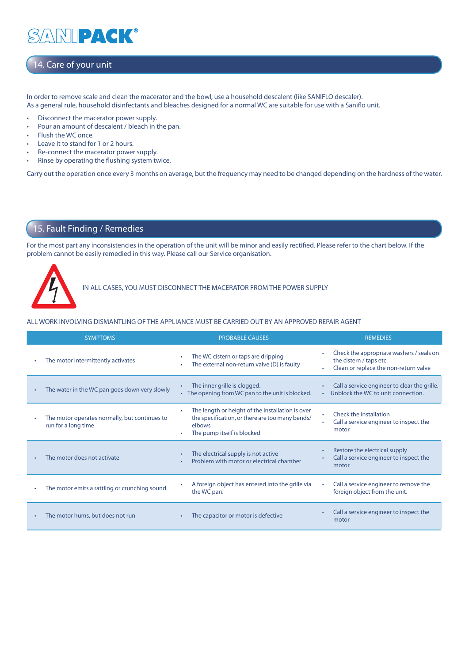### NIPACK®  $\Delta$

## 14. Care of your unit

In order to remove scale and clean the macerator and the bowl, use a household descalent (like SANIFLO descaler). As a general rule, household disinfectants and bleaches designed for a normal WC are suitable for use with a Saniflo unit.

- Disconnect the macerator power supply.
- Pour an amount of descalent / bleach in the pan.
- Flush the WC once.
- Leave it to stand for 1 or 2 hours.
- Re-connect the macerator power supply.
- Rinse by operating the flushing system twice.

Carry out the operation once every 3 months on average, but the frequency may need to be changed depending on the hardness of the water.

### 15. Fault Finding / Remedies

For the most part any inconsistencies in the operation of the unit will be minor and easily rectified. Please refer to the chart below. If the problem cannot be easily remedied in this way. Please call our Service organisation.



IN ALL CASES, YOU MUST DISCONNECT THE MACERATOR FROM THE POWER SUPPLY

#### ALL WORK INVOLVING DISMANTLING OF THE APPLIANCE MUST BE CARRIED OUT BY AN APPROVED REPAIR AGENT

|           | <b>SYMPTOMS</b>                                                      | <b>PROBABLE CAUSES</b>                                                                                                                      | <b>REMEDIES</b>                                                                                                  |
|-----------|----------------------------------------------------------------------|---------------------------------------------------------------------------------------------------------------------------------------------|------------------------------------------------------------------------------------------------------------------|
|           | The motor intermittently activates                                   | The WC cistern or taps are dripping<br>The external non-return valve (D) is faulty                                                          | Check the appropriate washers / seals on<br>٠<br>the cistern / taps etc<br>Clean or replace the non-return valve |
| ٠         | The water in the WC pan goes down very slowly                        | The inner grille is clogged.<br>• The opening from WC pan to the unit is blocked.                                                           | Call a service engineer to clear the grille.<br>٠<br>Unblock the WC to unit connection.                          |
|           | The motor operates normally, but continues to<br>run for a long time | The length or height of the installation is over<br>the specification, or there are too many bends/<br>elbows<br>The pump itself is blocked | Check the installation<br>Call a service engineer to inspect the<br>motor                                        |
|           | The motor does not activate                                          | The electrical supply is not active<br>Problem with motor or electrical chamber                                                             | Restore the electrical supply<br>٠<br>Call a service engineer to inspect the<br>motor                            |
|           | The motor emits a rattling or crunching sound.                       | A foreign object has entered into the grille via<br>the WC pan.                                                                             | Call a service engineer to remove the<br>foreign object from the unit.                                           |
| $\bullet$ | The motor hums, but does not run                                     | The capacitor or motor is defective                                                                                                         | Call a service engineer to inspect the<br>motor                                                                  |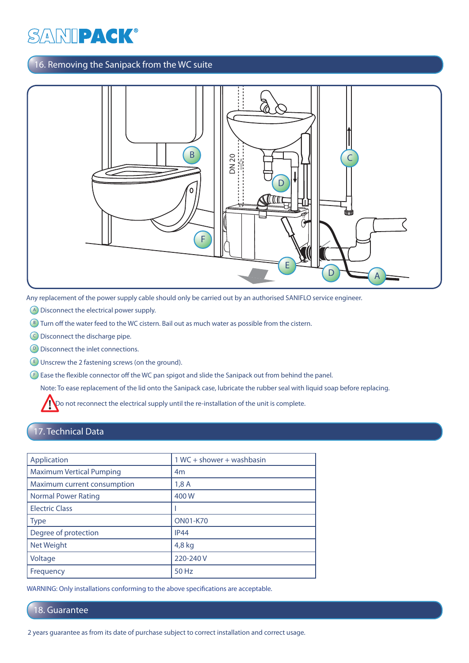## 16. Removing the Sanipack from the WC suite



- A Disconnect the electrical power supply.
- **B**) Turn off the water feed to the WC cistern. Bail out as much water as possible from the cistern.
- C Disconnect the discharge pipe.
- **D** Disconnect the inlet connections.
- $E$ ) Unscrew the 2 fastening screws (on the ground).

 $F$ ) Ease the flexible connector off the WC pan spigot and slide the Sanipack out from behind the panel.

Note: To ease replacement of the lid onto the Sanipack case, lubricate the rubber seal with liquid soap before replacing.

Do not reconnect the electrical supply until the re-installation of the unit is complete.

### 17. Technical Data

| Application                     | $1WC +$ shower + washbasin |  |
|---------------------------------|----------------------------|--|
| <b>Maximum Vertical Pumping</b> | 4 <sub>m</sub>             |  |
| Maximum current consumption     | 1,8A                       |  |
| <b>Normal Power Rating</b>      | 400W                       |  |
| <b>Electric Class</b>           |                            |  |
| <b>Type</b>                     | <b>ON01-K70</b>            |  |
| Degree of protection            | IP44                       |  |
| Net Weight                      | 4,8 kg                     |  |
| Voltage                         | 220-240 V                  |  |
| Frequency                       | 50 Hz                      |  |
|                                 |                            |  |

WARNING: Only installations conforming to the above specifications are acceptable.

#### 18. Guarantee